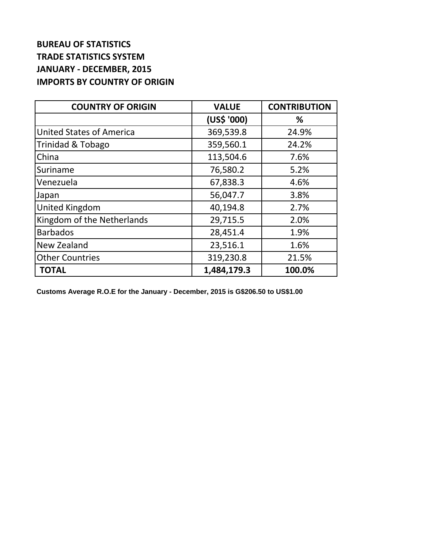## **BUREAU OF STATISTICS TRADE STATISTICS SYSTEM JANUARY - DECEMBER, 2015 IMPORTS BY COUNTRY OF ORIGIN**

| <b>COUNTRY OF ORIGIN</b>        | <b>VALUE</b> | <b>CONTRIBUTION</b> |
|---------------------------------|--------------|---------------------|
|                                 | (US\$ '000)  | %                   |
| <b>United States of America</b> | 369,539.8    | 24.9%               |
| Trinidad & Tobago               | 359,560.1    | 24.2%               |
| China                           | 113,504.6    | 7.6%                |
| Suriname                        | 76,580.2     | 5.2%                |
| Venezuela                       | 67,838.3     | 4.6%                |
| Japan                           | 56,047.7     | 3.8%                |
| United Kingdom                  | 40,194.8     | 2.7%                |
| Kingdom of the Netherlands      | 29,715.5     | 2.0%                |
| <b>Barbados</b>                 | 28,451.4     | 1.9%                |
| New Zealand                     | 23,516.1     | 1.6%                |
| <b>Other Countries</b>          | 319,230.8    | 21.5%               |
| <b>TOTAL</b>                    | 1,484,179.3  | 100.0%              |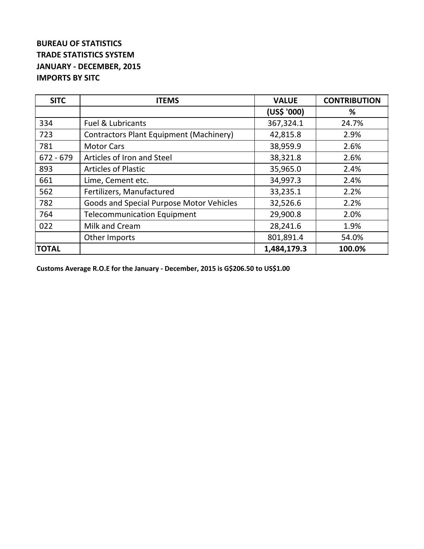## **BUREAU OF STATISTICS TRADE STATISTICS SYSTEM JANUARY - DECEMBER, 2015 IMPORTS BY SITC**

| <b>SITC</b>  | <b>ITEMS</b>                                   | <b>VALUE</b> | <b>CONTRIBUTION</b> |
|--------------|------------------------------------------------|--------------|---------------------|
|              |                                                | (US\$ '000)  | %                   |
| 334          | <b>Fuel &amp; Lubricants</b>                   | 367,324.1    | 24.7%               |
| 723          | <b>Contractors Plant Equipment (Machinery)</b> | 42,815.8     | 2.9%                |
| 781          | <b>Motor Cars</b>                              | 38,959.9     | 2.6%                |
| $672 - 679$  | Articles of Iron and Steel                     | 38,321.8     | 2.6%                |
| 893          | <b>Articles of Plastic</b>                     | 35,965.0     | 2.4%                |
| 661          | Lime, Cement etc.                              | 34,997.3     | 2.4%                |
| 562          | Fertilizers, Manufactured                      | 33,235.1     | 2.2%                |
| 782          | Goods and Special Purpose Motor Vehicles       | 32,526.6     | 2.2%                |
| 764          | <b>Telecommunication Equipment</b>             | 29,900.8     | 2.0%                |
| 022          | Milk and Cream                                 | 28,241.6     | 1.9%                |
|              | Other Imports                                  | 801,891.4    | 54.0%               |
| <b>TOTAL</b> |                                                | 1,484,179.3  | 100.0%              |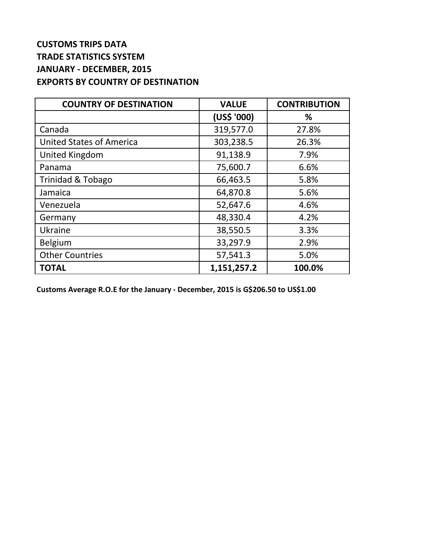## **CUSTOMS TRIPS DATA TRADE STATISTICS SYSTEM JANUARY - DECEMBER, 2015 EXPORTS BY COUNTRY OF DESTINATION**

| <b>COUNTRY OF DESTINATION</b>   | <b>VALUE</b> | <b>CONTRIBUTION</b> |
|---------------------------------|--------------|---------------------|
|                                 | (US\$ '000)  | ℅                   |
| Canada                          | 319,577.0    | 27.8%               |
| <b>United States of America</b> | 303,238.5    | 26.3%               |
| <b>United Kingdom</b>           | 91,138.9     | 7.9%                |
| Panama                          | 75,600.7     | 6.6%                |
| Trinidad & Tobago               | 66,463.5     | 5.8%                |
| Jamaica                         | 64,870.8     | 5.6%                |
| Venezuela                       | 52,647.6     | 4.6%                |
| Germany                         | 48,330.4     | 4.2%                |
| Ukraine                         | 38,550.5     | 3.3%                |
| <b>Belgium</b>                  | 33,297.9     | 2.9%                |
| <b>Other Countries</b>          | 57,541.3     | 5.0%                |
| <b>TOTAL</b>                    | 1,151,257.2  | 100.0%              |